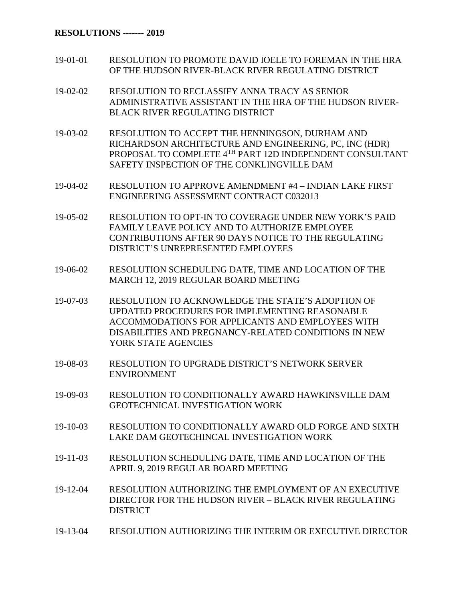## **RESOLUTIONS ------- 2019**

- 19-01-01 RESOLUTION TO PROMOTE DAVID IOELE TO FOREMAN IN THE HRA OF THE HUDSON RIVER-BLACK RIVER REGULATING DISTRICT
- 19-02-02 RESOLUTION TO RECLASSIFY ANNA TRACY AS SENIOR ADMINISTRATIVE ASSISTANT IN THE HRA OF THE HUDSON RIVER-BLACK RIVER REGULATING DISTRICT
- 19-03-02 RESOLUTION TO ACCEPT THE HENNINGSON, DURHAM AND RICHARDSON ARCHITECTURE AND ENGINEERING, PC, INC (HDR) PROPOSAL TO COMPLETE 4TH PART 12D INDEPENDENT CONSULTANT SAFETY INSPECTION OF THE CONKLINGVILLE DAM
- 19-04-02 RESOLUTION TO APPROVE AMENDMENT #4 INDIAN LAKE FIRST ENGINEERING ASSESSMENT CONTRACT C032013
- 19-05-02 RESOLUTION TO OPT-IN TO COVERAGE UNDER NEW YORK'S PAID FAMILY LEAVE POLICY AND TO AUTHORIZE EMPLOYEE CONTRIBUTIONS AFTER 90 DAYS NOTICE TO THE REGULATING DISTRICT'S UNREPRESENTED EMPLOYEES
- 19-06-02 RESOLUTION SCHEDULING DATE, TIME AND LOCATION OF THE MARCH 12, 2019 REGULAR BOARD MEETING
- 19-07-03 RESOLUTION TO ACKNOWLEDGE THE STATE'S ADOPTION OF UPDATED PROCEDURES FOR IMPLEMENTING REASONABLE ACCOMMODATIONS FOR APPLICANTS AND EMPLOYEES WITH DISABILITIES AND PREGNANCY-RELATED CONDITIONS IN NEW YORK STATE AGENCIES
- 19-08-03 RESOLUTION TO UPGRADE DISTRICT'S NETWORK SERVER ENVIRONMENT
- 19-09-03 RESOLUTION TO CONDITIONALLY AWARD HAWKINSVILLE DAM GEOTECHNICAL INVESTIGATION WORK
- 19-10-03 RESOLUTION TO CONDITIONALLY AWARD OLD FORGE AND SIXTH LAKE DAM GEOTECHINCAL INVESTIGATION WORK
- 19-11-03 RESOLUTION SCHEDULING DATE, TIME AND LOCATION OF THE APRIL 9, 2019 REGULAR BOARD MEETING
- 19-12-04 RESOLUTION AUTHORIZING THE EMPLOYMENT OF AN EXECUTIVE DIRECTOR FOR THE HUDSON RIVER – BLACK RIVER REGULATING DISTRICT
- 19-13-04 RESOLUTION AUTHORIZING THE INTERIM OR EXECUTIVE DIRECTOR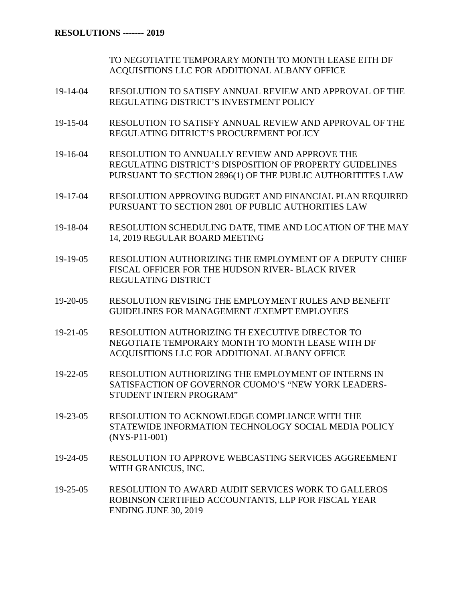TO NEGOTIATTE TEMPORARY MONTH TO MONTH LEASE EITH DF ACQUISITIONS LLC FOR ADDITIONAL ALBANY OFFICE

- 19-14-04 RESOLUTION TO SATISFY ANNUAL REVIEW AND APPROVAL OF THE REGULATING DISTRICT'S INVESTMENT POLICY
- 19-15-04 RESOLUTION TO SATISFY ANNUAL REVIEW AND APPROVAL OF THE REGULATING DITRICT'S PROCUREMENT POLICY
- 19-16-04 RESOLUTION TO ANNUALLY REVIEW AND APPROVE THE REGULATING DISTRICT'S DISPOSITION OF PROPERTY GUIDELINES PURSUANT TO SECTION 2896(1) OF THE PUBLIC AUTHORITITES LAW
- 19-17-04 RESOLUTION APPROVING BUDGET AND FINANCIAL PLAN REQUIRED PURSUANT TO SECTION 2801 OF PUBLIC AUTHORITIES LAW
- 19-18-04 RESOLUTION SCHEDULING DATE, TIME AND LOCATION OF THE MAY 14, 2019 REGULAR BOARD MEETING
- 19-19-05 RESOLUTION AUTHORIZING THE EMPLOYMENT OF A DEPUTY CHIEF FISCAL OFFICER FOR THE HUDSON RIVER- BLACK RIVER REGULATING DISTRICT
- 19-20-05 RESOLUTION REVISING THE EMPLOYMENT RULES AND BENEFIT GUIDELINES FOR MANAGEMENT /EXEMPT EMPLOYEES
- 19-21-05 RESOLUTION AUTHORIZING TH EXECUTIVE DIRECTOR TO NEGOTIATE TEMPORARY MONTH TO MONTH LEASE WITH DF ACQUISITIONS LLC FOR ADDITIONAL ALBANY OFFICE
- 19-22-05 RESOLUTION AUTHORIZING THE EMPLOYMENT OF INTERNS IN SATISFACTION OF GOVERNOR CUOMO'S "NEW YORK LEADERS-STUDENT INTERN PROGRAM"
- 19-23-05 RESOLUTION TO ACKNOWLEDGE COMPLIANCE WITH THE STATEWIDE INFORMATION TECHNOLOGY SOCIAL MEDIA POLICY (NYS-P11-001)
- 19-24-05 RESOLUTION TO APPROVE WEBCASTING SERVICES AGGREEMENT WITH GRANICUS, INC.
- 19-25-05 RESOLUTION TO AWARD AUDIT SERVICES WORK TO GALLEROS ROBINSON CERTIFIED ACCOUNTANTS, LLP FOR FISCAL YEAR ENDING JUNE 30, 2019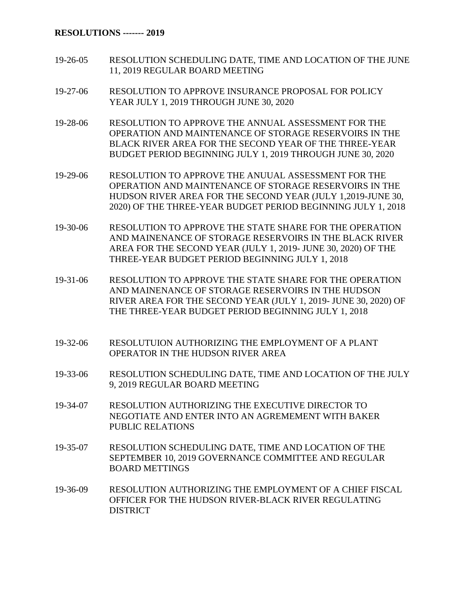## **RESOLUTIONS ------- 2019**

- 19-26-05 RESOLUTION SCHEDULING DATE, TIME AND LOCATION OF THE JUNE 11, 2019 REGULAR BOARD MEETING
- 19-27-06 RESOLUTION TO APPROVE INSURANCE PROPOSAL FOR POLICY YEAR JULY 1, 2019 THROUGH JUNE 30, 2020
- 19-28-06 RESOLUTION TO APPROVE THE ANNUAL ASSESSMENT FOR THE OPERATION AND MAINTENANCE OF STORAGE RESERVOIRS IN THE BLACK RIVER AREA FOR THE SECOND YEAR OF THE THREE-YEAR BUDGET PERIOD BEGINNING JULY 1, 2019 THROUGH JUNE 30, 2020
- 19-29-06 RESOLUTION TO APPROVE THE ANUUAL ASSESSMENT FOR THE OPERATION AND MAINTENANCE OF STORAGE RESERVOIRS IN THE HUDSON RIVER AREA FOR THE SECOND YEAR (JULY 1,2019-JUNE 30, 2020) OF THE THREE-YEAR BUDGET PERIOD BEGINNING JULY 1, 2018
- 19-30-06 RESOLUTION TO APPROVE THE STATE SHARE FOR THE OPERATION AND MAINENANCE OF STORAGE RESERVOIRS IN THE BLACK RIVER AREA FOR THE SECOND YEAR (JULY 1, 2019- JUNE 30, 2020) OF THE THREE-YEAR BUDGET PERIOD BEGINNING JULY 1, 2018
- 19-31-06 RESOLUTION TO APPROVE THE STATE SHARE FOR THE OPERATION AND MAINENANCE OF STORAGE RESERVOIRS IN THE HUDSON RIVER AREA FOR THE SECOND YEAR (JULY 1, 2019- JUNE 30, 2020) OF THE THREE-YEAR BUDGET PERIOD BEGINNING JULY 1, 2018
- 19-32-06 RESOLUTUION AUTHORIZING THE EMPLOYMENT OF A PLANT OPERATOR IN THE HUDSON RIVER AREA
- 19-33-06 RESOLUTION SCHEDULING DATE, TIME AND LOCATION OF THE JULY 9, 2019 REGULAR BOARD MEETING
- 19-34-07 RESOLUTION AUTHORIZING THE EXECUTIVE DIRECTOR TO NEGOTIATE AND ENTER INTO AN AGREMEMENT WITH BAKER PUBLIC RELATIONS
- 19-35-07 RESOLUTION SCHEDULING DATE, TIME AND LOCATION OF THE SEPTEMBER 10, 2019 GOVERNANCE COMMITTEE AND REGULAR BOARD METTINGS
- 19-36-09 RESOLUTION AUTHORIZING THE EMPLOYMENT OF A CHIEF FISCAL OFFICER FOR THE HUDSON RIVER-BLACK RIVER REGULATING DISTRICT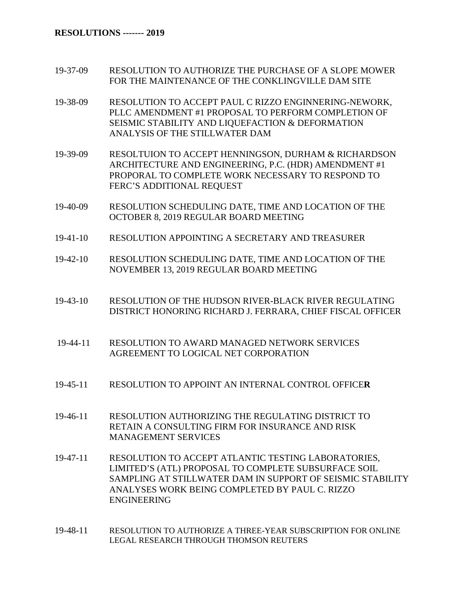- 19-37-09 RESOLUTION TO AUTHORIZE THE PURCHASE OF A SLOPE MOWER FOR THE MAINTENANCE OF THE CONKLINGVILLE DAM SITE
- 19-38-09 RESOLUTION TO ACCEPT PAUL C RIZZO ENGINNERING-NEWORK, PLLC AMENDMENT #1 PROPOSAL TO PERFORM COMPLETION OF SEISMIC STABILITY AND LIQUEFACTION & DEFORMATION ANALYSIS OF THE STILLWATER DAM
- 19-39-09 RESOLTUION TO ACCEPT HENNINGSON, DURHAM & RICHARDSON ARCHITECTURE AND ENGINEERING, P.C. (HDR) AMENDMENT #1 PROPORAL TO COMPLETE WORK NECESSARY TO RESPOND TO FERC'S ADDITIONAL REQUEST
- 19-40-09 RESOLUTION SCHEDULING DATE, TIME AND LOCATION OF THE OCTOBER 8, 2019 REGULAR BOARD MEETING
- 19-41-10 RESOLUTION APPOINTING A SECRETARY AND TREASURER
- 19-42-10 RESOLUTION SCHEDULING DATE, TIME AND LOCATION OF THE NOVEMBER 13, 2019 REGULAR BOARD MEETING
- 19-43-10 RESOLUTION OF THE HUDSON RIVER-BLACK RIVER REGULATING DISTRICT HONORING RICHARD J. FERRARA, CHIEF FISCAL OFFICER
- 19-44-11 RESOLUTION TO AWARD MANAGED NETWORK SERVICES AGREEMENT TO LOGICAL NET CORPORATION
- 19-45-11 RESOLUTION TO APPOINT AN INTERNAL CONTROL OFFICE**R**
- 19-46-11 RESOLUTION AUTHORIZING THE REGULATING DISTRICT TO RETAIN A CONSULTING FIRM FOR INSURANCE AND RISK MANAGEMENT SERVICES
- 19-47-11 RESOLUTION TO ACCEPT ATLANTIC TESTING LABORATORIES, LIMITED'S (ATL) PROPOSAL TO COMPLETE SUBSURFACE SOIL SAMPLING AT STILLWATER DAM IN SUPPORT OF SEISMIC STABILITY ANALYSES WORK BEING COMPLETED BY PAUL C. RIZZO ENGINEERING
- 19-48-11 RESOLUTION TO AUTHORIZE A THREE-YEAR SUBSCRIPTION FOR ONLINE LEGAL RESEARCH THROUGH THOMSON REUTERS